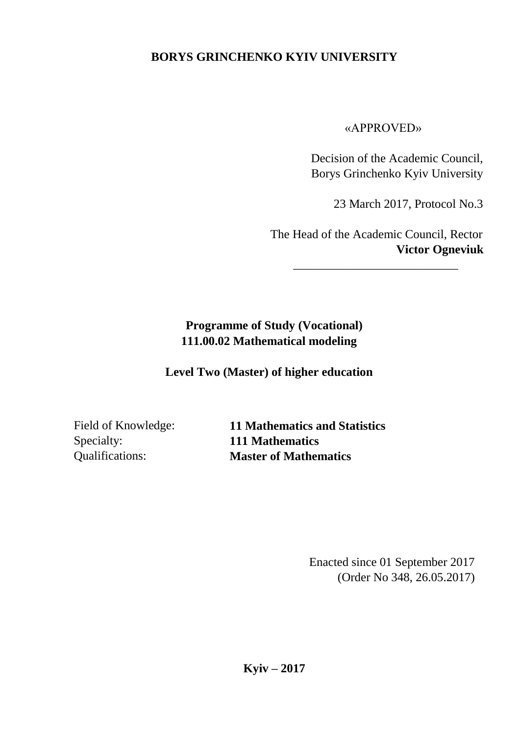# **BORYS GRINCHENKO KYIV UNIVERSITY**

«APPROVED»

Decision of the Academic Council, Borys Grinchenko Kyiv University

23 March 2017, Protocol No.3

The Head of the Academic Council, Rector **Victor Ogneviuk** 

\_\_\_\_\_\_\_\_\_\_\_\_\_\_\_\_\_\_\_\_\_\_\_\_\_\_\_

# **Programme of Study (Vocational) 111.00.02 Mathematical modeling**

**Level Two (Master) of higher education**

Specialty: **111 Mathematics** 

Field of Knowledge: **11 Mathematics and Statistics**  Qualifications: **Master of Mathematics** 

> Enacted since 01 September 2017 (Order No 348, 26.05.2017)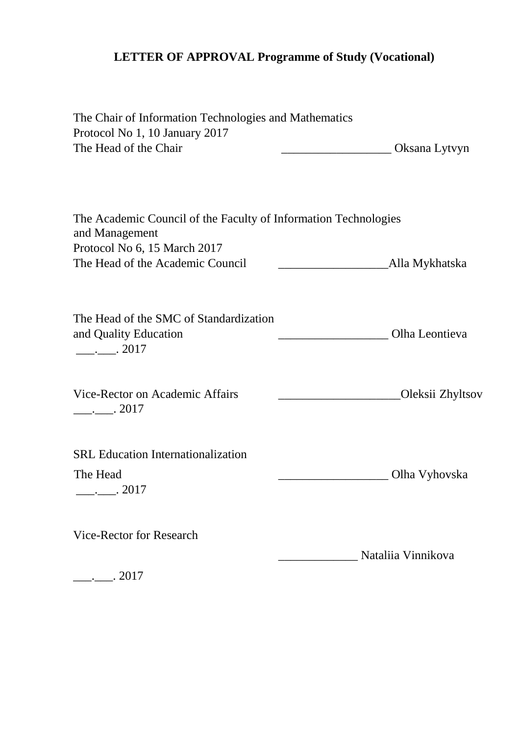# **LETTER OF APPROVAL Programme of Study (Vocational)**

| The Chair of Information Technologies and Mathematics                              |                    |
|------------------------------------------------------------------------------------|--------------------|
| Protocol No 1, 10 January 2017                                                     |                    |
| The Head of the Chair                                                              | Oksana Lytvyn      |
|                                                                                    |                    |
| The Academic Council of the Faculty of Information Technologies<br>and Management  |                    |
| Protocol No 6, 15 March 2017                                                       |                    |
| The Head of the Academic Council                                                   | Alla Mykhatska     |
| The Head of the SMC of Standardization<br>and Quality Education<br>$\ldots$ . 2017 | Olha Leontieva     |
| Vice-Rector on Academic Affairs<br>$\frac{1}{2}$ . 2017                            | Oleksii Zhyltsov   |
| <b>SRL</b> Education Internationalization                                          |                    |
| The Head                                                                           | Olha Vyhovska      |
| $\frac{1}{2}$ . 2017                                                               |                    |
| Vice-Rector for Research                                                           |                    |
|                                                                                    | Nataliia Vinnikova |
| . 2017                                                                             |                    |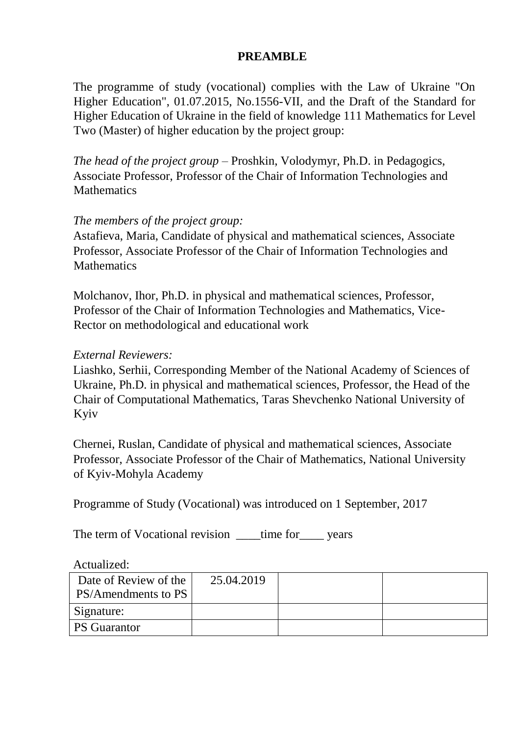### **PREAMBLE**

The programme of study (vocational) complies with the Law of Ukraine "On Higher Education", 01.07.2015, No.1556-VІІ, and the Draft of the Standard for Higher Education of Ukraine in the field of knowledge 111 Mathematics for Level Two (Master) of higher education by the project group:

*The head of the project group –* Proshkin, Volodymyr, Ph.D. in Pedagogics, Associate Professor, Professor of the Chair of Information Technologies and **Mathematics** 

#### *The members of the project group:*

Astafieva, Maria, Candidate of physical and mathematical sciences, Associate Professor, Associate Professor of the Chair of Information Technologies and **Mathematics** 

Molchanov, Ihor, Ph.D. in physical and mathematical sciences, Professor, Professor of the Chair of Information Technologies and Mathematics, Vice-Rector on methodological and educational work

#### *External Reviewers:*

Liashko, Serhii, Corresponding Member of the National Academy of Sciences of Ukraine, Ph.D. in physical and mathematical sciences, Professor, the Head of the Chair of Computational Mathematics, Taras Shevchenko National University of Kyiv

Chernei, Ruslan, Candidate of physical and mathematical sciences, Associate Professor, Associate Professor of the Chair of Mathematics, National University of Kyiv-Mohyla Academy

Programme of Study (Vocational) was introduced on 1 September, 2017

The term of Vocational revision ime for vears

Actualized:

| Date of Review of the<br><b>PS/Amendments to PS</b> | 25.04.2019 |  |
|-----------------------------------------------------|------------|--|
| Signature:                                          |            |  |
| <b>PS</b> Guarantor                                 |            |  |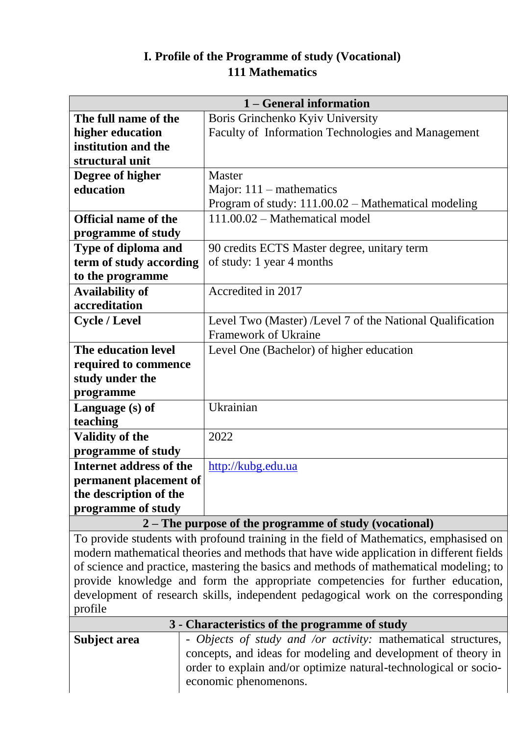# **I. Profile of the Programme of study (Vocational) 111 Mathematics**

| 1 – General information        |                                                           |  |  |  |  |
|--------------------------------|-----------------------------------------------------------|--|--|--|--|
| The full name of the           | Boris Grinchenko Kyiv University                          |  |  |  |  |
| higher education               | Faculty of Information Technologies and Management        |  |  |  |  |
| institution and the            |                                                           |  |  |  |  |
| structural unit                |                                                           |  |  |  |  |
| Degree of higher               | <b>Master</b>                                             |  |  |  |  |
| education                      | Major: $111$ – mathematics                                |  |  |  |  |
|                                | Program of study: 111.00.02 – Mathematical modeling       |  |  |  |  |
| <b>Official name of the</b>    | $111.00.02$ – Mathematical model                          |  |  |  |  |
| programme of study             |                                                           |  |  |  |  |
| Type of diploma and            | 90 credits ECTS Master degree, unitary term               |  |  |  |  |
| term of study according        | of study: 1 year 4 months                                 |  |  |  |  |
| to the programme               |                                                           |  |  |  |  |
| <b>Availability of</b>         | Accredited in 2017                                        |  |  |  |  |
| accreditation                  |                                                           |  |  |  |  |
| <b>Cycle / Level</b>           | Level Two (Master) /Level 7 of the National Qualification |  |  |  |  |
|                                | <b>Framework of Ukraine</b>                               |  |  |  |  |
| The education level            | Level One (Bachelor) of higher education                  |  |  |  |  |
| required to commence           |                                                           |  |  |  |  |
| study under the                |                                                           |  |  |  |  |
| programme                      |                                                           |  |  |  |  |
| Language (s) of                | Ukrainian                                                 |  |  |  |  |
| teaching                       |                                                           |  |  |  |  |
| Validity of the                | 2022                                                      |  |  |  |  |
| programme of study             |                                                           |  |  |  |  |
| <b>Internet address of the</b> | http://kubg.edu.ua                                        |  |  |  |  |
| permanent placement of         |                                                           |  |  |  |  |
| the description of the         |                                                           |  |  |  |  |
| programme of study             |                                                           |  |  |  |  |

#### **2 – The purpose of the programme of study (vocational)**

To provide students with profound training in the field of Mathematics, emphasised on modern mathematical theories and methods that have wide application in different fields of science and practice, mastering the basics and methods of mathematical modeling; to provide knowledge and form the appropriate competencies for further education, development of research skills, independent pedagogical work on the corresponding profile **3 - Characteristics of the programme of study** 

| 3 - Characterístics of the programme of study |                                                                  |  |  |  |  |  |
|-----------------------------------------------|------------------------------------------------------------------|--|--|--|--|--|
| Subject area                                  | - Objects of study and /or activity: mathematical structures,    |  |  |  |  |  |
|                                               | concepts, and ideas for modeling and development of theory in    |  |  |  |  |  |
|                                               | order to explain and/or optimize natural-technological or socio- |  |  |  |  |  |
|                                               | economic phenomenons.                                            |  |  |  |  |  |
|                                               |                                                                  |  |  |  |  |  |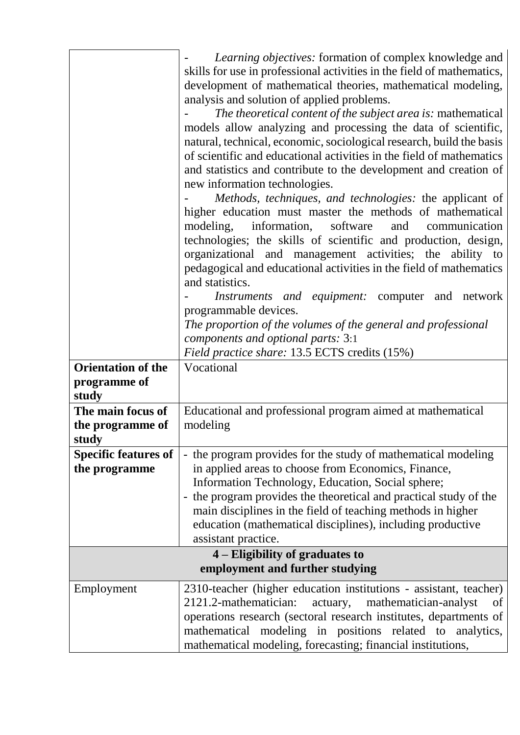|                                                    | Learning objectives: formation of complex knowledge and<br>skills for use in professional activities in the field of mathematics,<br>development of mathematical theories, mathematical modeling,<br>analysis and solution of applied problems.                                                                                                                                                          |  |  |  |  |  |
|----------------------------------------------------|----------------------------------------------------------------------------------------------------------------------------------------------------------------------------------------------------------------------------------------------------------------------------------------------------------------------------------------------------------------------------------------------------------|--|--|--|--|--|
|                                                    | The theoretical content of the subject area is: mathematical<br>models allow analyzing and processing the data of scientific,<br>natural, technical, economic, sociological research, build the basis<br>of scientific and educational activities in the field of mathematics<br>and statistics and contribute to the development and creation of<br>new information technologies.                       |  |  |  |  |  |
|                                                    | Methods, techniques, and technologies: the applicant of<br>higher education must master the methods of mathematical<br>modeling,<br>information, software<br>and<br>communication<br>technologies; the skills of scientific and production, design,<br>organizational and management activities; the ability to<br>pedagogical and educational activities in the field of mathematics<br>and statistics. |  |  |  |  |  |
|                                                    | <i>Instruments and equipment:</i> computer and network                                                                                                                                                                                                                                                                                                                                                   |  |  |  |  |  |
|                                                    | programmable devices.                                                                                                                                                                                                                                                                                                                                                                                    |  |  |  |  |  |
|                                                    | The proportion of the volumes of the general and professional                                                                                                                                                                                                                                                                                                                                            |  |  |  |  |  |
|                                                    | components and optional parts: 3:1                                                                                                                                                                                                                                                                                                                                                                       |  |  |  |  |  |
|                                                    | Field practice share: 13.5 ECTS credits (15%)                                                                                                                                                                                                                                                                                                                                                            |  |  |  |  |  |
| <b>Orientation of the</b><br>programme of<br>study | Vocational                                                                                                                                                                                                                                                                                                                                                                                               |  |  |  |  |  |
| The main focus of<br>the programme of<br>study     | Educational and professional program aimed at mathematical<br>modeling                                                                                                                                                                                                                                                                                                                                   |  |  |  |  |  |
| <b>Specific features of</b>                        | - the program provides for the study of mathematical modeling                                                                                                                                                                                                                                                                                                                                            |  |  |  |  |  |
| the programme                                      | in applied areas to choose from Economics, Finance,                                                                                                                                                                                                                                                                                                                                                      |  |  |  |  |  |
|                                                    | Information Technology, Education, Social sphere;<br>- the program provides the theoretical and practical study of the                                                                                                                                                                                                                                                                                   |  |  |  |  |  |
|                                                    | main disciplines in the field of teaching methods in higher                                                                                                                                                                                                                                                                                                                                              |  |  |  |  |  |
|                                                    | education (mathematical disciplines), including productive                                                                                                                                                                                                                                                                                                                                               |  |  |  |  |  |
|                                                    | assistant practice.                                                                                                                                                                                                                                                                                                                                                                                      |  |  |  |  |  |
|                                                    | 4 – Eligibility of graduates to                                                                                                                                                                                                                                                                                                                                                                          |  |  |  |  |  |
|                                                    | employment and further studying                                                                                                                                                                                                                                                                                                                                                                          |  |  |  |  |  |
| Employment                                         | 2310-teacher (higher education institutions - assistant, teacher)<br>2121.2-mathematician:<br>actuary,<br>mathematician-analyst<br>of                                                                                                                                                                                                                                                                    |  |  |  |  |  |
|                                                    | operations research (sectoral research institutes, departments of<br>modeling in positions related to analytics,<br>mathematical<br>mathematical modeling, forecasting; financial institutions,                                                                                                                                                                                                          |  |  |  |  |  |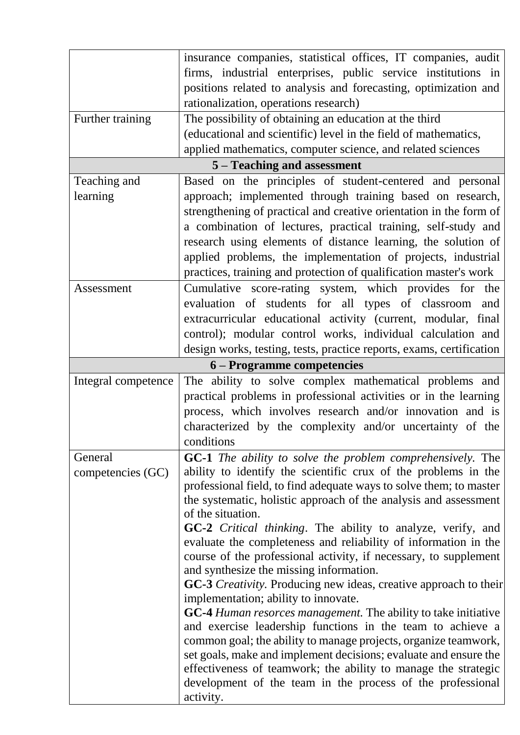|                     | insurance companies, statistical offices, IT companies, audit           |
|---------------------|-------------------------------------------------------------------------|
|                     | firms, industrial enterprises, public service institutions in           |
|                     | positions related to analysis and forecasting, optimization and         |
|                     | rationalization, operations research)                                   |
| Further training    | The possibility of obtaining an education at the third                  |
|                     | (educational and scientific) level in the field of mathematics,         |
|                     | applied mathematics, computer science, and related sciences             |
|                     | 5 – Teaching and assessment                                             |
| Teaching and        | Based on the principles of student-centered and personal                |
| learning            | approach; implemented through training based on research,               |
|                     | strengthening of practical and creative orientation in the form of      |
|                     | a combination of lectures, practical training, self-study and           |
|                     | research using elements of distance learning, the solution of           |
|                     | applied problems, the implementation of projects, industrial            |
|                     | practices, training and protection of qualification master's work       |
| Assessment          | Cumulative score-rating system, which provides for the                  |
|                     | evaluation of students for all types of classroom and                   |
|                     | extracurricular educational activity (current, modular, final           |
|                     | control); modular control works, individual calculation and             |
|                     | design works, testing, tests, practice reports, exams, certification    |
|                     | 6 – Programme competencies                                              |
| Integral competence | The ability to solve complex mathematical problems and                  |
|                     | practical problems in professional activities or in the learning        |
|                     | process, which involves research and/or innovation and is               |
|                     | characterized by the complexity and/or uncertainty of the               |
|                     | conditions                                                              |
| General             | <b>GC-1</b> The ability to solve the problem comprehensively. The       |
| competencies (GC)   | ability to identify the scientific crux of the problems in the          |
|                     | professional field, to find adequate ways to solve them; to master      |
|                     | the systematic, holistic approach of the analysis and assessment        |
|                     | of the situation.                                                       |
|                     | GC-2 Critical thinking. The ability to analyze, verify, and             |
|                     | evaluate the completeness and reliability of information in the         |
|                     | course of the professional activity, if necessary, to supplement        |
|                     | and synthesize the missing information.                                 |
|                     | <b>GC-3</b> Creativity. Producing new ideas, creative approach to their |
|                     | implementation; ability to innovate.                                    |
|                     | <b>GC-4</b> Human resorces management. The ability to take initiative   |
|                     | and exercise leadership functions in the team to achieve a              |
|                     | common goal; the ability to manage projects, organize teamwork,         |
|                     | set goals, make and implement decisions; evaluate and ensure the        |
|                     | effectiveness of teamwork; the ability to manage the strategic          |
|                     | development of the team in the process of the professional<br>activity. |
|                     |                                                                         |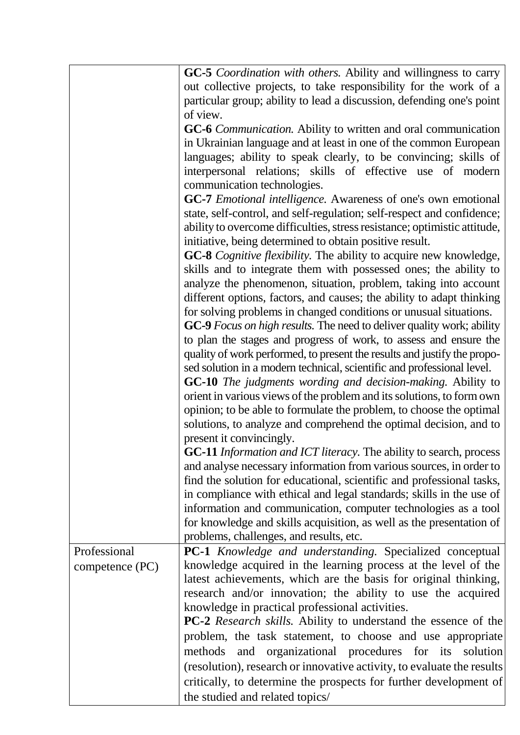|                 | <b>GC-5</b> <i>Coordination with others</i> . Ability and willingness to carry |
|-----------------|--------------------------------------------------------------------------------|
|                 | out collective projects, to take responsibility for the work of a              |
|                 | particular group; ability to lead a discussion, defending one's point          |
|                 | of view.                                                                       |
|                 | GC-6 <i>Communication</i> . Ability to written and oral communication          |
|                 | in Ukrainian language and at least in one of the common European               |
|                 | languages; ability to speak clearly, to be convincing; skills of               |
|                 | interpersonal relations; skills of effective use of modern                     |
|                 | communication technologies.                                                    |
|                 | GC-7 Emotional intelligence. Awareness of one's own emotional                  |
|                 | state, self-control, and self-regulation; self-respect and confidence;         |
|                 | ability to overcome difficulties, stress resistance; optimistic attitude,      |
|                 | initiative, being determined to obtain positive result.                        |
|                 | <b>GC-8</b> Cognitive flexibility. The ability to acquire new knowledge,       |
|                 | skills and to integrate them with possessed ones; the ability to               |
|                 | analyze the phenomenon, situation, problem, taking into account                |
|                 | different options, factors, and causes; the ability to adapt thinking          |
|                 | for solving problems in changed conditions or unusual situations.              |
|                 | GC-9 Focus on high results. The need to deliver quality work; ability          |
|                 | to plan the stages and progress of work, to assess and ensure the              |
|                 | quality of work performed, to present the results and justify the propo-       |
|                 | sed solution in a modern technical, scientific and professional level.         |
|                 | <b>GC-10</b> The judgments wording and decision-making. Ability to             |
|                 | orient in various views of the problem and its solutions, to form own          |
|                 | opinion; to be able to formulate the problem, to choose the optimal            |
|                 | solutions, to analyze and comprehend the optimal decision, and to              |
|                 | present it convincingly.                                                       |
|                 | GC-11 Information and ICT literacy. The ability to search, process             |
|                 | and analyse necessary information from various sources, in order to            |
|                 | find the solution for educational, scientific and professional tasks,          |
|                 | in compliance with ethical and legal standards; skills in the use of           |
|                 | information and communication, computer technologies as a tool                 |
|                 | for knowledge and skills acquisition, as well as the presentation of           |
|                 | problems, challenges, and results, etc.                                        |
| Professional    | PC-1 Knowledge and understanding. Specialized conceptual                       |
| competence (PC) | knowledge acquired in the learning process at the level of the                 |
|                 | latest achievements, which are the basis for original thinking,                |
|                 | research and/or innovation; the ability to use the acquired                    |
|                 | knowledge in practical professional activities.                                |
|                 | <b>PC-2</b> Research skills. Ability to understand the essence of the          |
|                 | problem, the task statement, to choose and use appropriate                     |
|                 | and organizational procedures for its solution<br>methods                      |
|                 | (resolution), research or innovative activity, to evaluate the results         |
|                 | critically, to determine the prospects for further development of              |
|                 | the studied and related topics/                                                |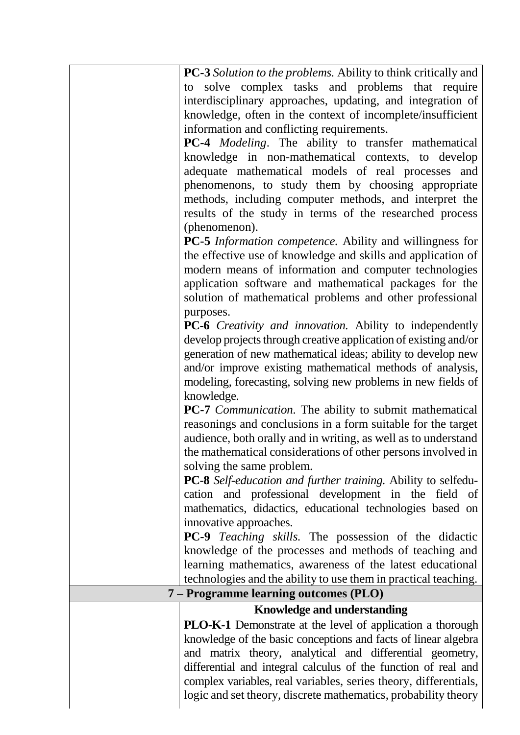| <b>PC-3</b> Solution to the problems. Ability to think critically and<br>to solve complex tasks and problems that require<br>interdisciplinary approaches, updating, and integration of<br>knowledge, often in the context of incomplete/insufficient<br>information and conflicting requirements. |
|----------------------------------------------------------------------------------------------------------------------------------------------------------------------------------------------------------------------------------------------------------------------------------------------------|
| PC-4 <i>Modeling</i> . The ability to transfer mathematical<br>knowledge in non-mathematical contexts, to develop<br>adequate mathematical models of real processes and                                                                                                                            |
| phenomenons, to study them by choosing appropriate<br>methods, including computer methods, and interpret the<br>results of the study in terms of the researched process<br>(phenomenon).                                                                                                           |
|                                                                                                                                                                                                                                                                                                    |
| PC-5 Information competence. Ability and willingness for                                                                                                                                                                                                                                           |
| the effective use of knowledge and skills and application of                                                                                                                                                                                                                                       |
| modern means of information and computer technologies                                                                                                                                                                                                                                              |
| application software and mathematical packages for the<br>solution of mathematical problems and other professional                                                                                                                                                                                 |
| purposes.                                                                                                                                                                                                                                                                                          |
| PC-6 Creativity and innovation. Ability to independently<br>develop projects through creative application of existing and/or                                                                                                                                                                       |
| generation of new mathematical ideas; ability to develop new                                                                                                                                                                                                                                       |
| and/or improve existing mathematical methods of analysis,                                                                                                                                                                                                                                          |
| modeling, forecasting, solving new problems in new fields of                                                                                                                                                                                                                                       |
| knowledge.                                                                                                                                                                                                                                                                                         |
| <b>PC-7</b> <i>Communication</i> . The ability to submit mathematical                                                                                                                                                                                                                              |
| reasonings and conclusions in a form suitable for the target                                                                                                                                                                                                                                       |
| audience, both orally and in writing, as well as to understand                                                                                                                                                                                                                                     |
| the mathematical considerations of other persons involved in                                                                                                                                                                                                                                       |
| solving the same problem.                                                                                                                                                                                                                                                                          |
| PC-8 Self-education and further training. Ability to selfedu-                                                                                                                                                                                                                                      |
| cation and professional development in the field of                                                                                                                                                                                                                                                |
| mathematics, didactics, educational technologies based on                                                                                                                                                                                                                                          |
| innovative approaches.                                                                                                                                                                                                                                                                             |
| <b>PC-9</b> Teaching skills. The possession of the didactic                                                                                                                                                                                                                                        |
| knowledge of the processes and methods of teaching and                                                                                                                                                                                                                                             |
| learning mathematics, awareness of the latest educational                                                                                                                                                                                                                                          |
| technologies and the ability to use them in practical teaching.                                                                                                                                                                                                                                    |
| 7 – Programme learning outcomes (PLO)                                                                                                                                                                                                                                                              |
| <b>Knowledge and understanding</b>                                                                                                                                                                                                                                                                 |
| <b>PLO-K-1</b> Demonstrate at the level of application a thorough                                                                                                                                                                                                                                  |
| knowledge of the basic conceptions and facts of linear algebra                                                                                                                                                                                                                                     |
| and matrix theory, analytical and differential geometry,                                                                                                                                                                                                                                           |
| differential and integral calculus of the function of real and                                                                                                                                                                                                                                     |
| complex variables, real variables, series theory, differentials,                                                                                                                                                                                                                                   |
| logic and set theory, discrete mathematics, probability theory                                                                                                                                                                                                                                     |
|                                                                                                                                                                                                                                                                                                    |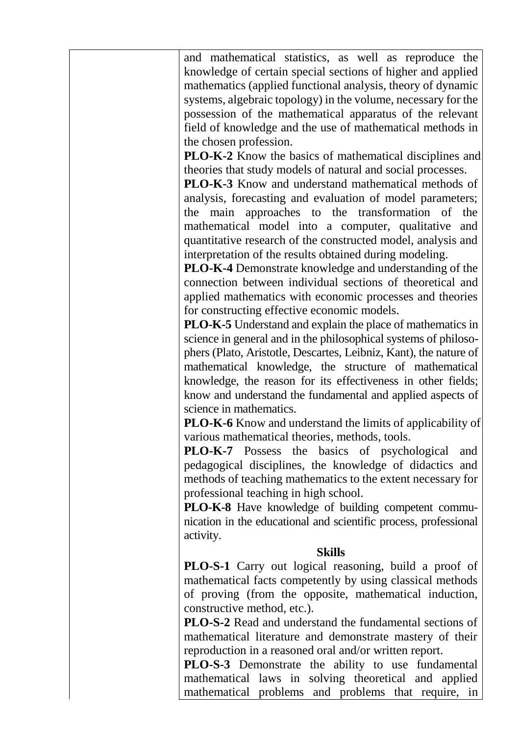and mathematical statistics, as well as reproduce the knowledge of certain special sections of higher and applied mathematics (applied functional analysis, theory of dynamic systems, algebraic topology) in the volume, necessary for the possession of the mathematical apparatus of the relevant field of knowledge and the use of mathematical methods in the chosen profession.

**PLO-K-2** Know the basics of mathematical disciplines and theories that study models of natural and social processes.

**PLO-K-3** Know and understand mathematical methods of analysis, forecasting and evaluation of model parameters; the main approaches to the transformation of the mathematical model into a computer, qualitative and quantitative research of the constructed model, analysis and interpretation of the results obtained during modeling.

**PLO-K-4** Demonstrate knowledge and understanding of the connection between individual sections of theoretical and applied mathematics with economic processes and theories for constructing effective economic models.

**PLO-K-5** Understand and explain the place of mathematics in science in general and in the philosophical systems of philosophers (Plato, Aristotle, Descartes, Leibniz, Kant), the nature of mathematical knowledge, the structure of mathematical knowledge, the reason for its effectiveness in other fields; know and understand the fundamental and applied aspects of science in mathematics.

**PLO-K-6** Know and understand the limits of applicability of various mathematical theories, methods, tools.

**PLO-K-7** Possess the basics of psychological and pedagogical disciplines, the knowledge of didactics and methods of teaching mathematics to the extent necessary for professional teaching in high school.

**PLO-K-8** Have knowledge of building competent communication in the educational and scientific process, professional activity.

#### **Skills**

**PLO-S-1** Carry out logical reasoning, build a proof of mathematical facts competently by using classical methods of proving (from the opposite, mathematical induction, constructive method, etc.).

**PLO-S-2** Read and understand the fundamental sections of mathematical literature and demonstrate mastery of their reproduction in a reasoned oral and/or written report.

**PLO-S-3** Demonstrate the ability to use fundamental mathematical laws in solving theoretical and applied mathematical problems and problems that require, in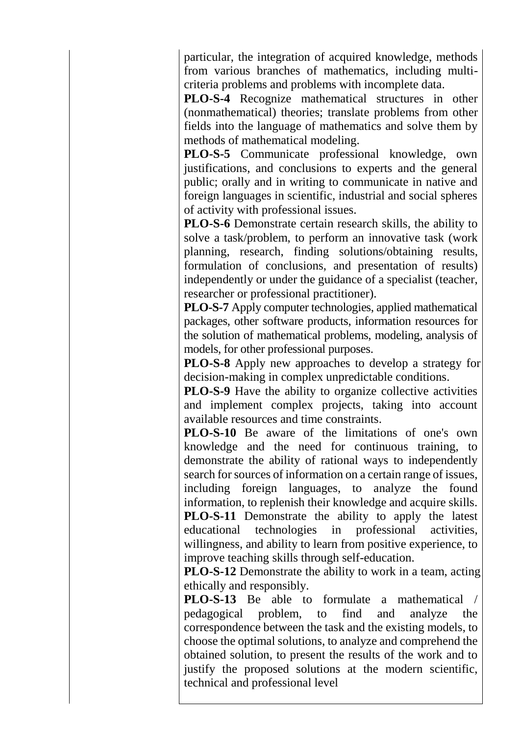particular, the integration of acquired knowledge, methods from various branches of mathematics, including multicriteria problems and problems with incomplete data.

**PLO-S-4** Recognize mathematical structures in other (nonmathematical) theories; translate problems from other fields into the language of mathematics and solve them by methods of mathematical modeling.

**PLO-S-5** Communicate professional knowledge, own justifications, and conclusions to experts and the general public; orally and in writing to communicate in native and foreign languages in scientific, industrial and social spheres of activity with professional issues.

**PLO-S-6** Demonstrate certain research skills, the ability to solve a task/problem, to perform an innovative task (work planning, research, finding solutions/obtaining results, formulation of conclusions, and presentation of results) independently or under the guidance of a specialist (teacher, researcher or professional practitioner).

**PLO-S-7** Apply computer technologies, applied mathematical packages, other software products, information resources for the solution of mathematical problems, modeling, analysis of models, for other professional purposes.

**PLO-S-8** Apply new approaches to develop a strategy for decision-making in complex unpredictable conditions.

**PLO-S-9** Have the ability to organize collective activities and implement complex projects, taking into account available resources and time constraints.

**PLO-S-10** Be aware of the limitations of one's own knowledge and the need for continuous training, to demonstrate the ability of rational ways to independently search for sources of information on a certain range of issues, including foreign languages, to analyze the found information, to replenish their knowledge and acquire skills. **PLO-S-11** Demonstrate the ability to apply the latest educational technologies in professional activities, willingness, and ability to learn from positive experience, to improve teaching skills through self-education.

**PLO-S-12** Demonstrate the ability to work in a team, acting ethically and responsibly.

**PLO-S-13** Be able to formulate a mathematical pedagogical problem, to find and analyze the correspondence between the task and the existing models, to choose the optimal solutions, to analyze and comprehend the obtained solution, to present the results of the work and to justify the proposed solutions at the modern scientific, technical and professional level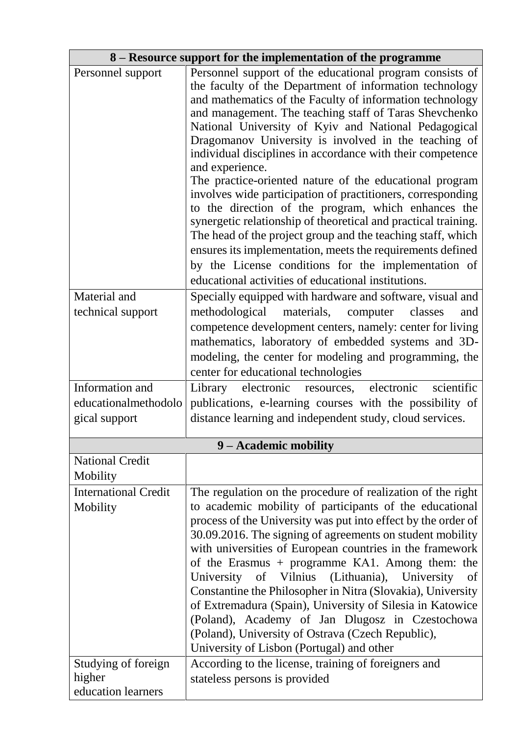|                                         | 8 – Resource support for the implementation of the programme                                                                                                                                                                                                                                                                                                                                                                                                                                                                                                                                                                                                                                                                                                                                                                                                                      |
|-----------------------------------------|-----------------------------------------------------------------------------------------------------------------------------------------------------------------------------------------------------------------------------------------------------------------------------------------------------------------------------------------------------------------------------------------------------------------------------------------------------------------------------------------------------------------------------------------------------------------------------------------------------------------------------------------------------------------------------------------------------------------------------------------------------------------------------------------------------------------------------------------------------------------------------------|
| Personnel support                       | Personnel support of the educational program consists of<br>the faculty of the Department of information technology<br>and mathematics of the Faculty of information technology<br>and management. The teaching staff of Taras Shevchenko<br>National University of Kyiv and National Pedagogical<br>Dragomanov University is involved in the teaching of<br>individual disciplines in accordance with their competence<br>and experience.<br>The practice-oriented nature of the educational program<br>involves wide participation of practitioners, corresponding<br>to the direction of the program, which enhances the<br>synergetic relationship of theoretical and practical training.<br>The head of the project group and the teaching staff, which<br>ensures its implementation, meets the requirements defined<br>by the License conditions for the implementation of |
|                                         | educational activities of educational institutions.                                                                                                                                                                                                                                                                                                                                                                                                                                                                                                                                                                                                                                                                                                                                                                                                                               |
| Material and<br>technical support       | Specially equipped with hardware and software, visual and<br>methodological<br>materials, computer classes<br>and<br>competence development centers, namely: center for living<br>mathematics, laboratory of embedded systems and 3D-<br>modeling, the center for modeling and programming, the<br>center for educational technologies                                                                                                                                                                                                                                                                                                                                                                                                                                                                                                                                            |
| Information and                         | Library electronic resources, electronic<br>scientific                                                                                                                                                                                                                                                                                                                                                                                                                                                                                                                                                                                                                                                                                                                                                                                                                            |
| educationalmethodolo<br>gical support   | publications, e-learning courses with the possibility of<br>distance learning and independent study, cloud services.                                                                                                                                                                                                                                                                                                                                                                                                                                                                                                                                                                                                                                                                                                                                                              |
|                                         | 9 – Academic mobility                                                                                                                                                                                                                                                                                                                                                                                                                                                                                                                                                                                                                                                                                                                                                                                                                                                             |
| <b>National Credit</b><br>Mobility      |                                                                                                                                                                                                                                                                                                                                                                                                                                                                                                                                                                                                                                                                                                                                                                                                                                                                                   |
| <b>International Credit</b><br>Mobility | The regulation on the procedure of realization of the right<br>to academic mobility of participants of the educational<br>process of the University was put into effect by the order of<br>30.09.2016. The signing of agreements on student mobility<br>with universities of European countries in the framework<br>of the Erasmus + programme KA1. Among them: the<br>University of Vilnius (Lithuania), University<br><sub>of</sub><br>Constantine the Philosopher in Nitra (Slovakia), University<br>of Extremadura (Spain), University of Silesia in Katowice<br>(Poland), Academy of Jan Dlugosz in Czestochowa<br>(Poland), University of Ostrava (Czech Republic),<br>University of Lisbon (Portugal) and other                                                                                                                                                            |
| Studying of foreign<br>higher           | According to the license, training of foreigners and<br>stateless persons is provided                                                                                                                                                                                                                                                                                                                                                                                                                                                                                                                                                                                                                                                                                                                                                                                             |
| education learners                      |                                                                                                                                                                                                                                                                                                                                                                                                                                                                                                                                                                                                                                                                                                                                                                                                                                                                                   |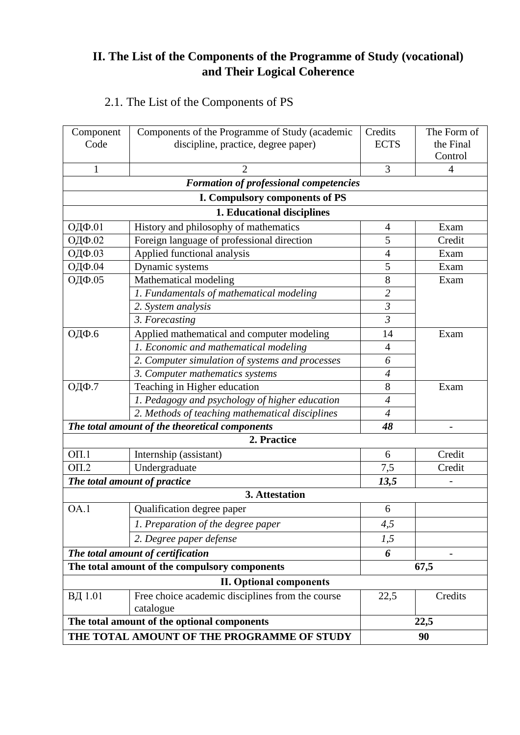# **II. The List of the Components of the Programme of Study (vocational) and Their Logical Coherence**

# 2.1. The List of the Components of PS

| Component<br>Code | Components of the Programme of Study (academic<br>discipline, practice, degree paper) | Credits<br><b>ECTS</b> | The Form of<br>the Final |  |  |  |  |
|-------------------|---------------------------------------------------------------------------------------|------------------------|--------------------------|--|--|--|--|
|                   |                                                                                       |                        | Control                  |  |  |  |  |
| $\mathbf{1}$      | 3<br>$\overline{2}$                                                                   |                        |                          |  |  |  |  |
|                   | <b>Formation of professional competencies</b>                                         |                        |                          |  |  |  |  |
|                   | I. Compulsory components of PS                                                        |                        |                          |  |  |  |  |
|                   | 1. Educational disciplines                                                            |                        |                          |  |  |  |  |
| ОДФ.01            | History and philosophy of mathematics                                                 | 4                      | Exam                     |  |  |  |  |
| ОДФ.02            | Foreign language of professional direction                                            | 5                      | Credit                   |  |  |  |  |
| ОДФ.03            | Applied functional analysis                                                           | $\overline{4}$         | Exam                     |  |  |  |  |
| ОДФ.04            | Dynamic systems                                                                       | 5                      | Exam                     |  |  |  |  |
| ОДФ.05            | Mathematical modeling                                                                 | 8                      | Exam                     |  |  |  |  |
|                   | 1. Fundamentals of mathematical modeling                                              | $\overline{2}$         |                          |  |  |  |  |
|                   | 2. System analysis                                                                    | $\mathfrak{Z}$         |                          |  |  |  |  |
|                   | 3. Forecasting                                                                        | $\mathfrak{Z}$         |                          |  |  |  |  |
| ОДФ.6             | Applied mathematical and computer modeling                                            | 14                     | Exam                     |  |  |  |  |
|                   | 1. Economic and mathematical modeling                                                 | $\overline{4}$         |                          |  |  |  |  |
|                   | 2. Computer simulation of systems and processes                                       | 6                      |                          |  |  |  |  |
|                   | 3. Computer mathematics systems                                                       | $\overline{4}$         |                          |  |  |  |  |
| ОДФ.7             | Teaching in Higher education                                                          | 8                      | Exam                     |  |  |  |  |
|                   | 1. Pedagogy and psychology of higher education                                        | $\overline{4}$         |                          |  |  |  |  |
|                   | 2. Methods of teaching mathematical disciplines                                       | $\overline{4}$         |                          |  |  |  |  |
|                   | The total amount of the theoretical components                                        | 48                     |                          |  |  |  |  |
|                   | 2. Practice                                                                           |                        |                          |  |  |  |  |
| $O\Pi.1$          | Internship (assistant)                                                                | 6                      | Credit                   |  |  |  |  |
| O <sub>II.2</sub> | Undergraduate                                                                         | 7,5                    | Credit                   |  |  |  |  |
|                   | The total amount of practice                                                          | 13,5                   |                          |  |  |  |  |
|                   | 3. Attestation                                                                        |                        |                          |  |  |  |  |
| OA.1              | Qualification degree paper                                                            | 6                      |                          |  |  |  |  |
|                   | 1. Preparation of the degree paper                                                    | 4,5                    |                          |  |  |  |  |
|                   | 2. Degree paper defense                                                               | 1,5                    |                          |  |  |  |  |
|                   | The total amount of certification                                                     | 6                      |                          |  |  |  |  |
|                   | The total amount of the compulsory components                                         |                        | 67,5                     |  |  |  |  |
|                   | <b>II. Optional components</b>                                                        |                        |                          |  |  |  |  |
| ВД 1.01           | Free choice academic disciplines from the course<br>catalogue                         | 22,5                   | Credits                  |  |  |  |  |
|                   | The total amount of the optional components                                           |                        | 22,5                     |  |  |  |  |
|                   | THE TOTAL AMOUNT OF THE PROGRAMME OF STUDY                                            | 90                     |                          |  |  |  |  |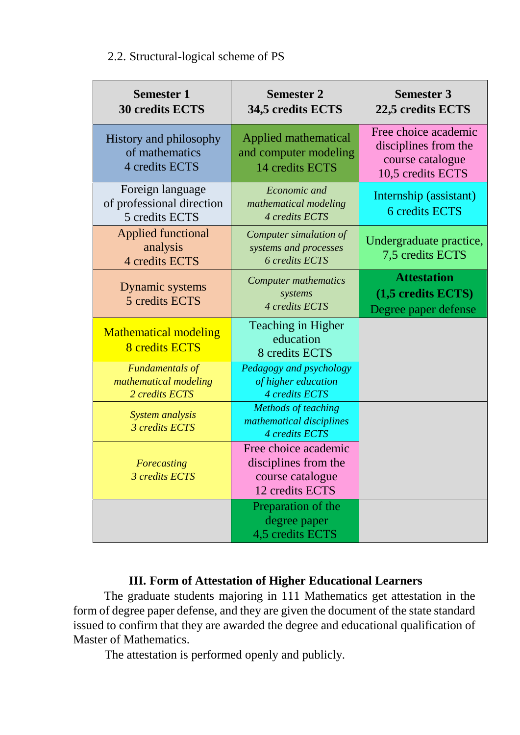### 2.2. Structural-logical scheme of PS

| <b>Semester 1</b><br><b>30 credits ECTS</b>                       | <b>Semester 2</b><br>34,5 credits ECTS                                              | <b>Semester 3</b><br>22,5 credits ECTS                                                |  |  |  |
|-------------------------------------------------------------------|-------------------------------------------------------------------------------------|---------------------------------------------------------------------------------------|--|--|--|
| History and philosophy<br>of mathematics<br>4 credits ECTS        | Applied mathematical<br>and computer modeling<br>14 credits ECTS                    | Free choice academic<br>disciplines from the<br>course catalogue<br>10,5 credits ECTS |  |  |  |
| Foreign language<br>of professional direction<br>5 credits ECTS   | Economic and<br>mathematical modeling<br>4 credits ECTS                             | Internship (assistant)<br>6 credits ECTS                                              |  |  |  |
| <b>Applied functional</b><br>analysis<br>4 credits ECTS           | Computer simulation of<br>systems and processes<br><b>6</b> credits ECTS            | Undergraduate practice,<br>7,5 credits ECTS                                           |  |  |  |
| Dynamic systems<br>5 credits ECTS                                 | <b>Computer mathematics</b><br>systems<br>4 credits ECTS                            | <b>Attestation</b><br>(1,5 credits ECTS)<br>Degree paper defense                      |  |  |  |
| <b>Mathematical modeling</b><br><b>8</b> credits ECTS             | Teaching in Higher<br>education<br>8 credits ECTS                                   |                                                                                       |  |  |  |
| <b>Fundamentals of</b><br>mathematical modeling<br>2 credits ECTS | Pedagogy and psychology<br>of higher education<br>4 credits ECTS                    |                                                                                       |  |  |  |
| System analysis<br>3 credits ECTS                                 | <b>Methods of teaching</b><br>mathematical disciplines<br>4 credits ECTS            |                                                                                       |  |  |  |
| Forecasting<br>3 credits ECTS                                     | Free choice academic<br>disciplines from the<br>course catalogue<br>12 credits ECTS |                                                                                       |  |  |  |
|                                                                   | Preparation of the<br>degree paper<br>4,5 credits ECTS                              |                                                                                       |  |  |  |

### **III. Form of Attestation of Higher Educational Learners**

The graduate students majoring in 111 Mathematics get attestation in the form of degree paper defense, and they are given the document of the state standard issued to confirm that they are awarded the degree and educational qualification of Master of Mathematics.

The attestation is performed openly and publicly.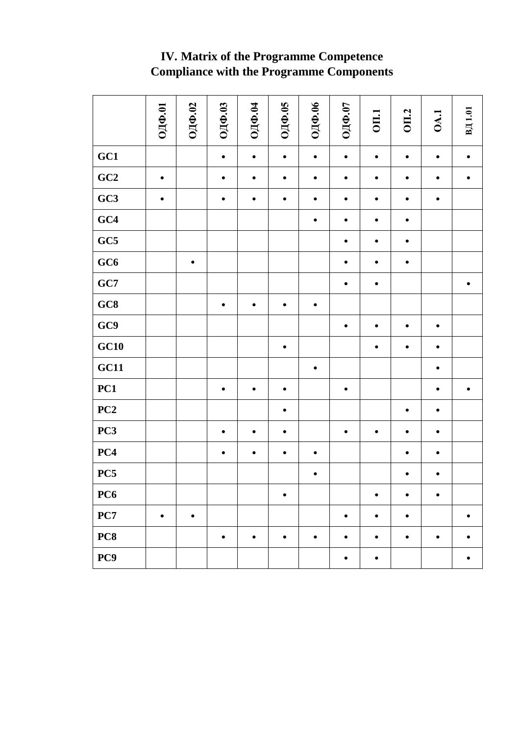|                 | ОДФ.01    | ОДФ.02    | ОДФ.03    | ОДФ.04    | ОДФ.05    | ОДФ.06    | ОДФ.07    | <b>OII.1</b> | <b>OII.2</b> | <b>DA.1</b> | ВД 1.01   |
|-----------------|-----------|-----------|-----------|-----------|-----------|-----------|-----------|--------------|--------------|-------------|-----------|
| GC1             |           |           | $\bullet$ | $\bullet$ | $\bullet$ | $\bullet$ | $\bullet$ | $\bullet$    | $\bullet$    | $\bullet$   | $\bullet$ |
| GC2             | $\bullet$ |           | $\bullet$ | $\bullet$ | $\bullet$ | $\bullet$ | $\bullet$ | $\bullet$    | $\bullet$    | $\bullet$   |           |
| GC3             | $\bullet$ |           | $\bullet$ | $\bullet$ | $\bullet$ | $\bullet$ | $\bullet$ | $\bullet$    | $\bullet$    | $\bullet$   |           |
| GC4             |           |           |           |           |           | $\bullet$ | $\bullet$ | $\bullet$    | $\bullet$    |             |           |
| GC5             |           |           |           |           |           |           |           | $\bullet$    | ٠            |             |           |
| GC6             |           | $\bullet$ |           |           |           |           | ٠         | $\bullet$    | ٠            |             |           |
| GC7             |           |           |           |           |           |           | ٠         | $\bullet$    |              |             | ٠         |
| GC8             |           |           | $\bullet$ | $\bullet$ | $\bullet$ | $\bullet$ |           |              |              |             |           |
| GC9             |           |           |           |           |           |           | $\bullet$ | $\bullet$    | $\bullet$    | $\bullet$   |           |
| GC10            |           |           |           |           | $\bullet$ |           |           | $\bullet$    | $\bullet$    | $\bullet$   |           |
| GC11            |           |           |           |           |           | $\bullet$ |           |              |              | ٠           |           |
| PC1             |           |           | ٠         | $\bullet$ | $\bullet$ |           | ٠         |              |              | ٠           |           |
| PC2             |           |           |           |           | ٠         |           |           |              | $\bullet$    | ٠           |           |
| PC3             |           |           | ٠         | $\bullet$ | ٠         |           | $\bullet$ | $\bullet$    | $\bullet$    | ٠           |           |
| PC4             |           |           | $\bullet$ | $\bullet$ | $\bullet$ | $\bullet$ |           |              | $\bullet$    | $\bullet$   |           |
| PC5             |           |           |           |           |           | $\bullet$ |           |              | $\bullet$    | $\bullet$   |           |
| PC <sub>6</sub> |           |           |           |           | $\bullet$ |           |           | ٠            | $\bullet$    | $\bullet$   |           |
| PC7             | $\bullet$ | $\bullet$ |           |           |           |           | $\bullet$ | $\bullet$    | $\bullet$    |             |           |
| PC8             |           |           | ٠         | $\bullet$ | $\bullet$ | $\bullet$ |           | ٠            | $\bullet$    | $\bullet$   |           |
| PC9             |           |           |           |           |           |           |           | ٠            |              |             |           |

# **IV. Matrix of the Programme Competence Compliance with the Programme Components**